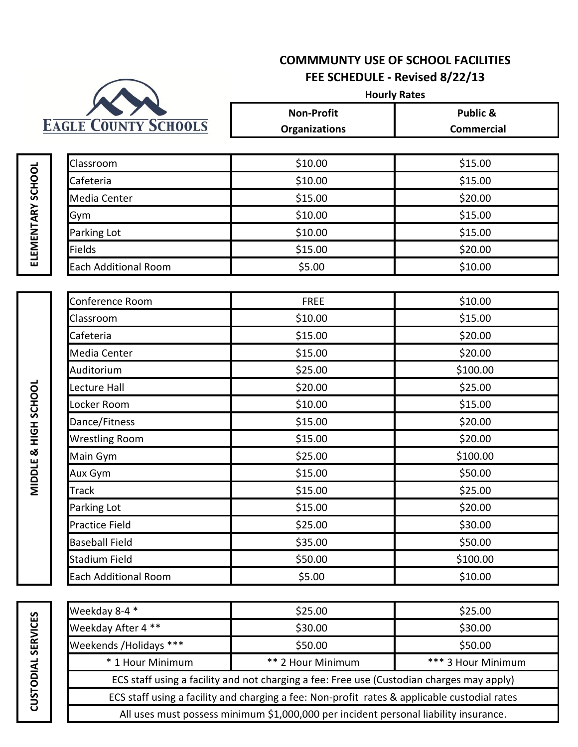# **COMMMUNTY USE OF SCHOOL FACILITIES FEE SCHEDULE - Revised 8/22/13**



**Non-Profit Public & Organizations Commercial Hourly Rates**

| <b>Classroom</b>            | \$10.00 | \$15.00 |
|-----------------------------|---------|---------|
| Cafeteria                   | \$10.00 | \$15.00 |
| Media Center                | \$15.00 | \$20.00 |
| Gym                         | \$10.00 | \$15.00 |
| Parking Lot                 | \$10.00 | \$15.00 |
| Fields                      | \$15.00 | \$20.00 |
| <b>Each Additional Room</b> | \$5.00  | \$10.00 |

| Conference Room             | <b>FREE</b> | \$10.00  |
|-----------------------------|-------------|----------|
| Classroom                   | \$10.00     | \$15.00  |
| Cafeteria                   | \$15.00     | \$20.00  |
| Media Center                | \$15.00     | \$20.00  |
| Auditorium                  | \$25.00     | \$100.00 |
| Lecture Hall                | \$20.00     | \$25.00  |
| Locker Room                 | \$10.00     | \$15.00  |
| Dance/Fitness               | \$15.00     | \$20.00  |
| <b>Wrestling Room</b>       | \$15.00     | \$20.00  |
| Main Gym                    | \$25.00     | \$100.00 |
| Aux Gym                     | \$15.00     | \$50.00  |
| Track                       | \$15.00     | \$25.00  |
| Parking Lot                 | \$15.00     | \$20.00  |
| <b>Practice Field</b>       | \$25.00     | \$30.00  |
| <b>Baseball Field</b>       | \$35.00     | \$50.00  |
| <b>Stadium Field</b>        | \$50.00     | \$100.00 |
| <b>Each Additional Room</b> | \$5.00      | \$10.00  |

ELEMENTARY SCHOOL **ELEMENTARY SCHOOL**

> MIDDLE & HIGH SCHOOL **MIDDLE & HIGH SCHOOL**

| Weekday 8-4 *                                                                                | \$25.00           | \$25.00            |  |  |
|----------------------------------------------------------------------------------------------|-------------------|--------------------|--|--|
| Weekday After 4 **                                                                           | \$30.00           | \$30.00            |  |  |
| Weekends / Holidays ***                                                                      | \$50.00           | \$50.00            |  |  |
| * 1 Hour Minimum                                                                             | ** 2 Hour Minimum | *** 3 Hour Minimum |  |  |
| ECS staff using a facility and not charging a fee: Free use (Custodian charges may apply)    |                   |                    |  |  |
| ECS staff using a facility and charging a fee: Non-profit rates & applicable custodial rates |                   |                    |  |  |
| All uses must possess minimum \$1,000,000 per incident personal liability insurance.         |                   |                    |  |  |
|                                                                                              |                   |                    |  |  |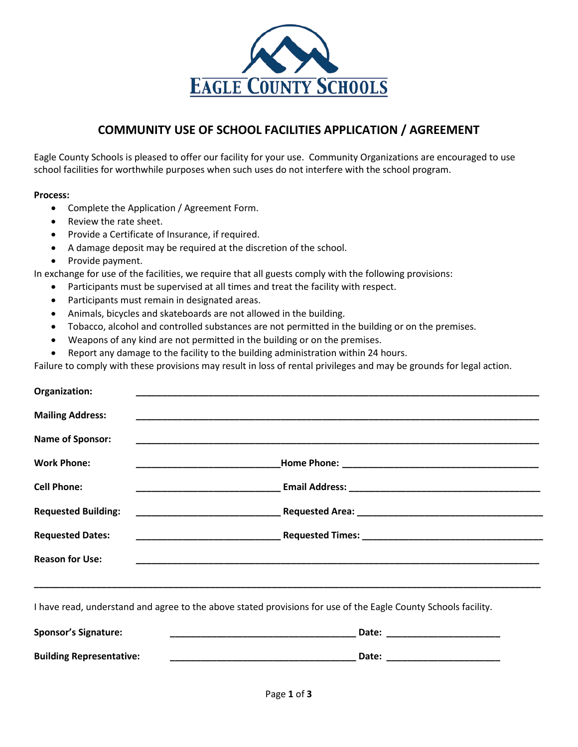

## **COMMUNITY USE OF SCHOOL FACILITIES APPLICATION / AGREEMENT**

Eagle County Schools is pleased to offer our facility for your use. Community Organizations are encouraged to use school facilities for worthwhile purposes when such uses do not interfere with the school program.

#### **Process:**

- Complete the Application / Agreement Form.
- Review the rate sheet.
- Provide a Certificate of Insurance, if required.
- A damage deposit may be required at the discretion of the school.
- Provide payment.

In exchange for use of the facilities, we require that all guests comply with the following provisions:

- Participants must be supervised at all times and treat the facility with respect.
- Participants must remain in designated areas.
- Animals, bicycles and skateboards are not allowed in the building.
- Tobacco, alcohol and controlled substances are not permitted in the building or on the premises.
- Weapons of any kind are not permitted in the building or on the premises.
- Report any damage to the facility to the building administration within 24 hours.

Failure to comply with these provisions may result in loss of rental privileges and may be grounds for legal action.

| Organization:              |                                                                                                                    |
|----------------------------|--------------------------------------------------------------------------------------------------------------------|
| <b>Mailing Address:</b>    | <u> 1999 - Jan James James James James James James James James James James James James James James James James</u> |
| <b>Name of Sponsor:</b>    |                                                                                                                    |
| <b>Work Phone:</b>         |                                                                                                                    |
| <b>Cell Phone:</b>         |                                                                                                                    |
| <b>Requested Building:</b> |                                                                                                                    |
| <b>Requested Dates:</b>    | <u> 1989 - Johann John Stone, mars eta biztanleria (</u>                                                           |
| <b>Reason for Use:</b>     |                                                                                                                    |
|                            |                                                                                                                    |

**\_\_\_\_\_\_\_\_\_\_\_\_\_\_\_\_\_\_\_\_\_\_\_\_\_\_\_\_\_\_\_\_\_\_\_\_\_\_\_\_\_\_\_\_\_\_\_\_\_\_\_\_\_\_\_\_\_\_\_\_\_\_\_\_\_\_\_\_\_\_\_\_\_\_\_\_\_\_\_\_\_\_\_\_\_\_\_\_\_\_\_\_\_\_\_\_\_\_**

I have read, understand and agree to the above stated provisions for use of the Eagle County Schools facility.

| <b>Sponsor's Signature:</b>     | Date: |
|---------------------------------|-------|
| <b>Building Representative:</b> | Date: |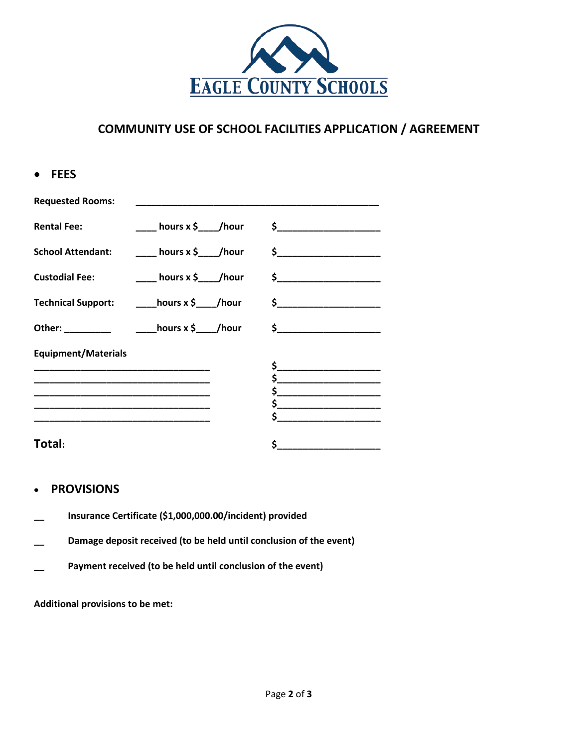

### **COMMUNITY USE OF SCHOOL FACILITIES APPLICATION / AGREEMENT**

| • FEES                     |                                              |                                               |
|----------------------------|----------------------------------------------|-----------------------------------------------|
| <b>Requested Rooms:</b>    |                                              |                                               |
| <b>Rental Fee:</b>         |                                              |                                               |
| <b>School Attendant:</b>   |                                              | ____ hours x \$____/hour \$__________________ |
| <b>Custodial Fee:</b>      | ____ hours x \$____/hour                     |                                               |
|                            | Technical Support: ______hours x \$____/hour | $\sim$                                        |
|                            |                                              | $\sim$ $\sim$                                 |
| <b>Equipment/Materials</b> |                                              |                                               |
|                            |                                              | $\frac{1}{2}$<br>$\frac{1}{2}$                |
|                            |                                              | $\sim$                                        |
|                            |                                              |                                               |
|                            |                                              |                                               |
| Total:                     |                                              |                                               |

#### • **PROVISIONS**

- **\_\_ Insurance Certificate (\$1,000,000.00/incident) provided**
- **\_\_ Damage deposit received (to be held until conclusion of the event)**
- **\_\_ Payment received (to be held until conclusion of the event)**

**Additional provisions to be met:**